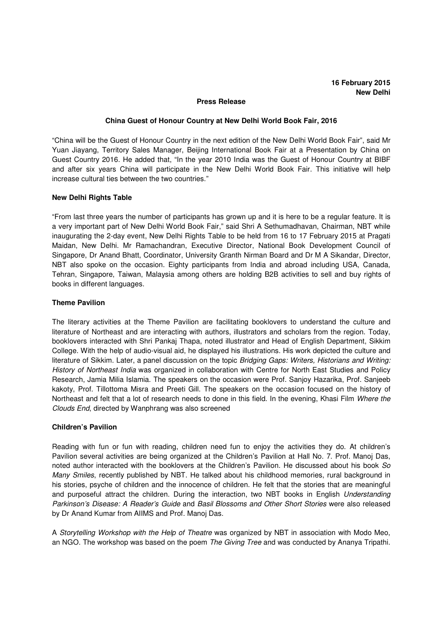## **Press Release**

#### **China Guest of Honour Country at New Delhi World Book Fair, 2016**

"China will be the Guest of Honour Country in the next edition of the New Delhi World Book Fair", said Mr Yuan Jiayang, Territory Sales Manager, Beijing International Book Fair at a Presentation by China on Guest Country 2016. He added that, "In the year 2010 India was the Guest of Honour Country at BIBF and after six years China will participate in the New Delhi World Book Fair. This initiative will help increase cultural ties between the two countries."

### **New Delhi Rights Table**

"From last three years the number of participants has grown up and it is here to be a regular feature. It is a very important part of New Delhi World Book Fair," said Shri A Sethumadhavan, Chairman, NBT while inaugurating the 2-day event, New Delhi Rights Table to be held from 16 to 17 February 2015 at Pragati Maidan, New Delhi. Mr Ramachandran, Executive Director, National Book Development Council of Singapore, Dr Anand Bhatt, Coordinator, University Granth Nirman Board and Dr M A Sikandar, Director, NBT also spoke on the occasion. Eighty participants from India and abroad including USA, Canada, Tehran, Singapore, Taiwan, Malaysia among others are holding B2B activities to sell and buy rights of books in different languages.

### **Theme Pavilion**

The literary activities at the Theme Pavilion are facilitating booklovers to understand the culture and literature of Northeast and are interacting with authors, illustrators and scholars from the region. Today, booklovers interacted with Shri Pankaj Thapa, noted illustrator and Head of English Department, Sikkim College. With the help of audio-visual aid, he displayed his illustrations. His work depicted the culture and literature of Sikkim. Later, a panel discussion on the topic Bridging Gaps: Writers, Historians and Writing: History of Northeast India was organized in collaboration with Centre for North East Studies and Policy Research, Jamia Milia Islamia. The speakers on the occasion were Prof. Sanjoy Hazarika, Prof. Sanjeeb kakoty, Prof. Tillottoma Misra and Preeti Gill. The speakers on the occasion focused on the history of Northeast and felt that a lot of research needs to done in this field. In the evening, Khasi Film Where the Clouds End, directed by Wanphrang was also screened

### **Children's Pavilion**

Reading with fun or fun with reading, children need fun to enjoy the activities they do. At children's Pavilion several activities are being organized at the Children's Pavilion at Hall No. 7. Prof. Manoj Das, noted author interacted with the booklovers at the Children's Pavilion. He discussed about his book So Many Smiles, recently published by NBT. He talked about his childhood memories, rural background in his stories, psyche of children and the innocence of children. He felt that the stories that are meaningful and purposeful attract the children. During the interaction, two NBT books in English Understanding Parkinson's Disease: A Reader's Guide and Basil Blossoms and Other Short Stories were also released by Dr Anand Kumar from AIIMS and Prof. Manoj Das.

A Storytelling Workshop with the Help of Theatre was organized by NBT in association with Modo Meo, an NGO. The workshop was based on the poem *The Giving Tree* and was conducted by Ananya Tripathi.